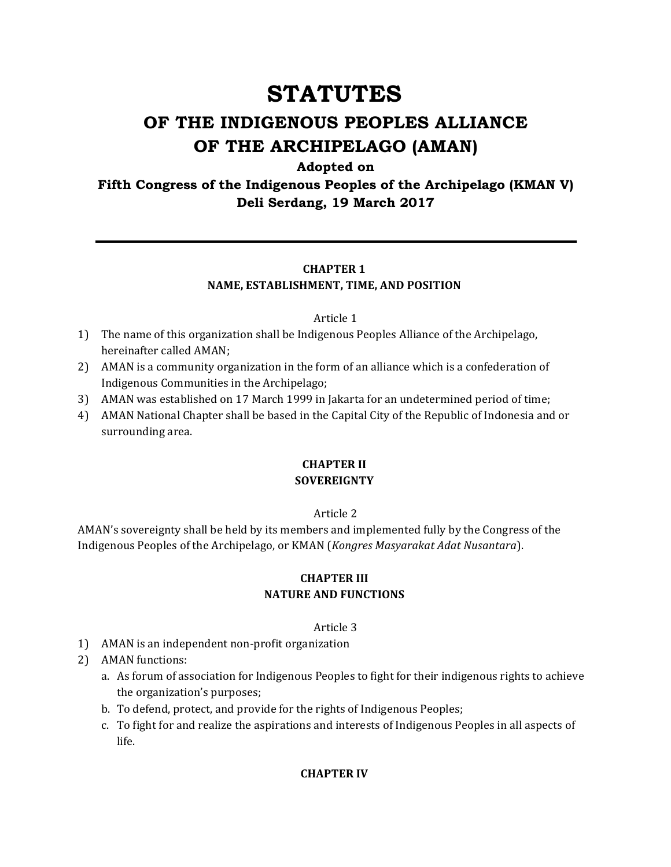# **STATUTES**

## **OF THE INDIGENOUS PEOPLES ALLIANCE OF THE ARCHIPELAGO (AMAN)**

#### **Adopted on**

**Fifth Congress of the Indigenous Peoples of the Archipelago (KMAN V) Deli Serdang, 19 March 2017**

#### **CHAPTER 1**

#### **NAME, ESTABLISHMENT, TIME, AND POSITION**

#### Article 1

- 1) The name of this organization shall be Indigenous Peoples Alliance of the Archipelago, hereinafter called AMAN;
- 2) AMAN is a community organization in the form of an alliance which is a confederation of Indigenous Communities in the Archipelago;
- 3) AMAN was established on 17 March 1999 in Jakarta for an undetermined period of time;
- 4) AMAN National Chapter shall be based in the Capital City of the Republic of Indonesia and or surrounding area.

#### **CHAPTER II SOVEREIGNTY**

#### Article 2

AMAN's sovereignty shall be held by its members and implemented fully by the Congress of the Indigenous Peoples of the Archipelago, or KMAN (*Kongres Masyarakat Adat Nusantara*). 

#### **CHAPTER III NATURE AND FUNCTIONS**

#### Article 3

- 1) AMAN is an independent non-profit organization
- 2) AMAN functions:
	- a. As forum of association for Indigenous Peoples to fight for their indigenous rights to achieve the organization's purposes;
	- b. To defend, protect, and provide for the rights of Indigenous Peoples;
	- c. To fight for and realize the aspirations and interests of Indigenous Peoples in all aspects of life.

#### **CHAPTER IV**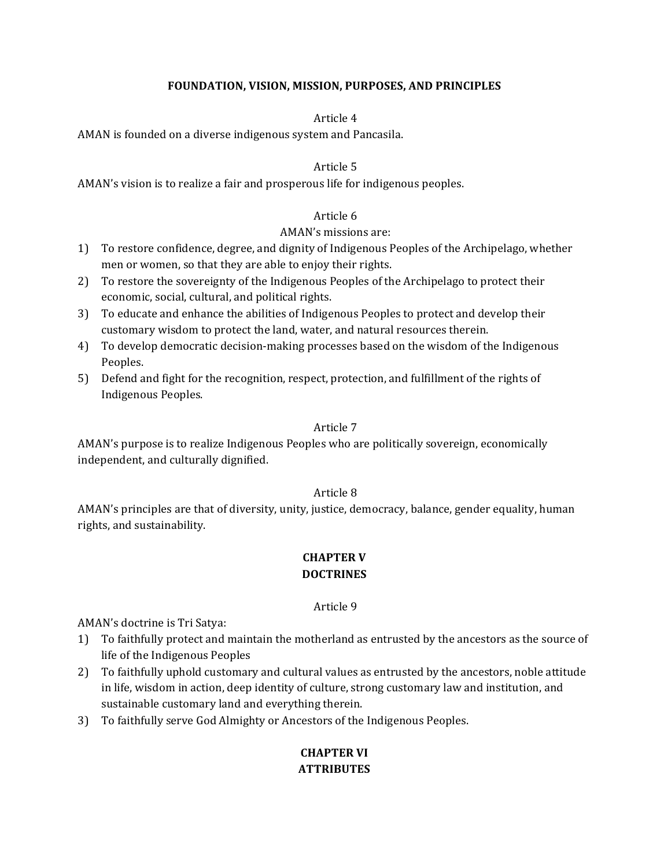#### FOUNDATION, VISION, MISSION, PURPOSES, AND PRINCIPLES

#### Article 4

AMAN is founded on a diverse indigenous system and Pancasila.

#### Article 5

AMAN's vision is to realize a fair and prosperous life for indigenous peoples.

#### Article 6

#### AMAN's missions are:

- 1) To restore confidence, degree, and dignity of Indigenous Peoples of the Archipelago, whether men or women, so that they are able to enjoy their rights.
- 2) To restore the sovereignty of the Indigenous Peoples of the Archipelago to protect their economic, social, cultural, and political rights.
- 3) To educate and enhance the abilities of Indigenous Peoples to protect and develop their customary wisdom to protect the land, water, and natural resources therein.
- 4) To develop democratic decision-making processes based on the wisdom of the Indigenous Peoples.
- 5) Defend and fight for the recognition, respect, protection, and fulfillment of the rights of Indigenous Peoples.

#### Article 7

AMAN's purpose is to realize Indigenous Peoples who are politically sovereign, economically independent, and culturally dignified.

#### Article 8

AMAN's principles are that of diversity, unity, justice, democracy, balance, gender equality, human rights, and sustainability.

## **CHAPTER V DOCTRINES**

#### Article 9

AMAN's doctrine is Tri Satya:

- 1) To faithfully protect and maintain the motherland as entrusted by the ancestors as the source of life of the Indigenous Peoples
- 2) To faithfully uphold customary and cultural values as entrusted by the ancestors, noble attitude in life, wisdom in action, deep identity of culture, strong customary law and institution, and sustainable customary land and everything therein.
- 3) To faithfully serve God Almighty or Ancestors of the Indigenous Peoples.

## **CHAPTER VI ATTRIBUTES**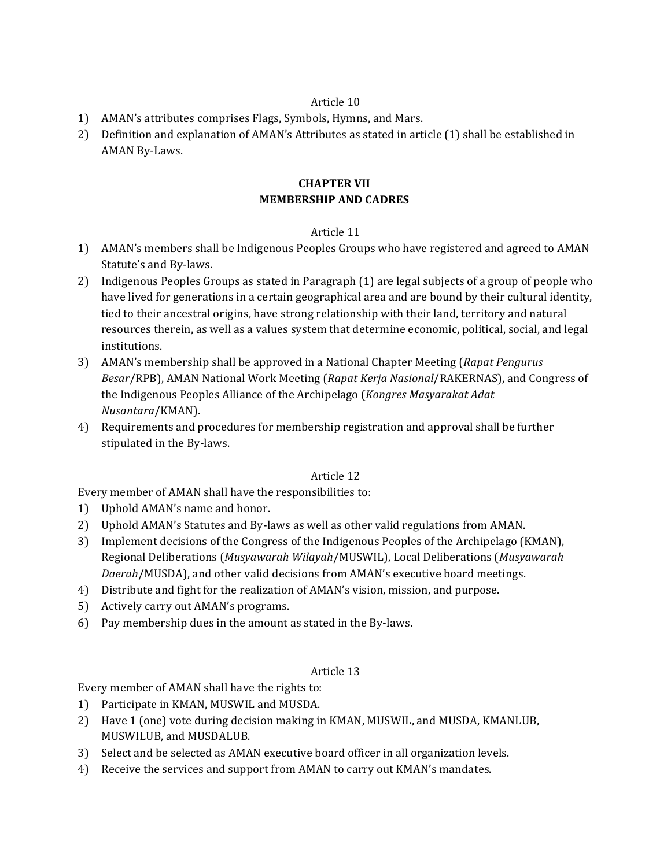- 1) AMAN's attributes comprises Flags, Symbols, Hymns, and Mars.
- 2) Definition and explanation of AMAN's Attributes as stated in article (1) shall be established in AMAN By-Laws.

## **CHAPTER VII MEMBERSHIP AND CADRES**

#### Article 11

- 1) AMAN's members shall be Indigenous Peoples Groups who have registered and agreed to AMAN Statute's and By-laws.
- 2) Indigenous Peoples Groups as stated in Paragraph (1) are legal subjects of a group of people who have lived for generations in a certain geographical area and are bound by their cultural identity, tied to their ancestral origins, have strong relationship with their land, territory and natural resources therein, as well as a values system that determine economic, political, social, and legal institutions.
- 3) AMAN's membership shall be approved in a National Chapter Meeting (*Rapat Pengurus Besar*/RPB), AMAN National Work Meeting (*Rapat Kerja Nasional*/RAKERNAS), and Congress of the Indigenous Peoples Alliance of the Archipelago (*Kongres Masyarakat Adat Nusantara*/KMAN).
- 4) Requirements and procedures for membership registration and approval shall be further stipulated in the By-laws.

#### Article 12

Every member of AMAN shall have the responsibilities to:

- 1) Uphold AMAN's name and honor.
- 2) Uphold AMAN's Statutes and By-laws as well as other valid regulations from AMAN.
- 3) Implement decisions of the Congress of the Indigenous Peoples of the Archipelago (KMAN), Regional Deliberations (*Musyawarah Wilayah*/MUSWIL), Local Deliberations (*Musyawarah Daerah*/MUSDA), and other valid decisions from AMAN's executive board meetings.
- 4) Distribute and fight for the realization of AMAN's vision, mission, and purpose.
- 5) Actively carry out AMAN's programs.
- 6) Pay membership dues in the amount as stated in the By-laws.

#### Article 13

Every member of AMAN shall have the rights to:

- 1) Participate in KMAN, MUSWIL and MUSDA.
- 2) Have 1 (one) vote during decision making in KMAN, MUSWIL, and MUSDA, KMANLUB, MUSWILUB, and MUSDALUB.
- 3) Select and be selected as AMAN executive board officer in all organization levels.
- 4) Receive the services and support from AMAN to carry out KMAN's mandates.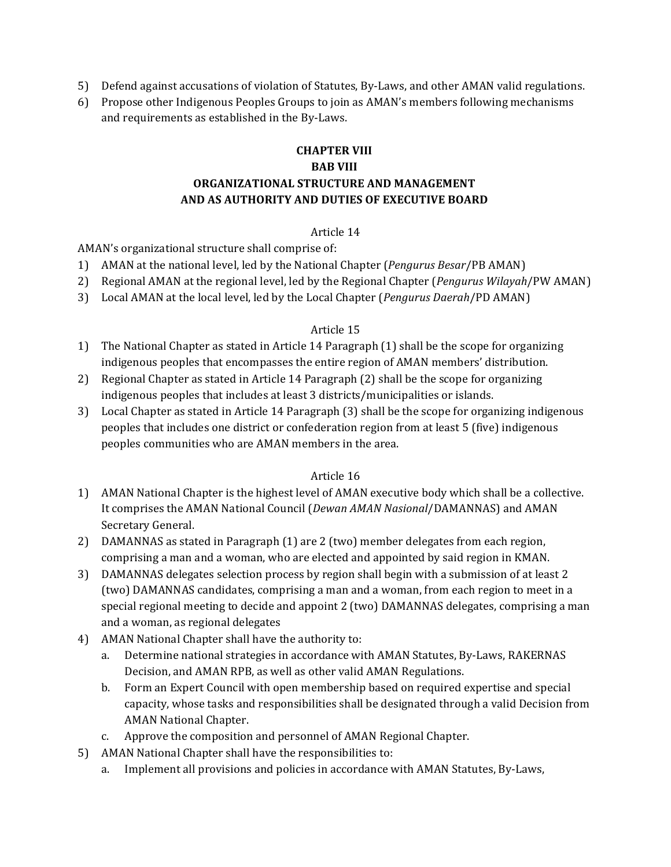- 5) Defend against accusations of violation of Statutes, By-Laws, and other AMAN valid regulations.
- 6) Propose other Indigenous Peoples Groups to join as AMAN's members following mechanisms and requirements as established in the By-Laws.

## **CHAPTER VIII BAB VIII ORGANIZATIONAL STRUCTURE AND MANAGEMENT AND AS AUTHORITY AND DUTIES OF EXECUTIVE BOARD**

## Article 14

AMAN's organizational structure shall comprise of:

- 1) AMAN at the national level, led by the National Chapter (*Pengurus Besar*/PB AMAN)
- 2) Regional AMAN at the regional level, led by the Regional Chapter (*Pengurus Wilayah*/PW AMAN)
- 3) Local AMAN at the local level, led by the Local Chapter (*Pengurus Daerah*/PD AMAN)

## Article 15

- 1) The National Chapter as stated in Article 14 Paragraph (1) shall be the scope for organizing indigenous peoples that encompasses the entire region of AMAN members' distribution.
- 2) Regional Chapter as stated in Article 14 Paragraph (2) shall be the scope for organizing indigenous peoples that includes at least 3 districts/municipalities or islands.
- 3) Local Chapter as stated in Article 14 Paragraph (3) shall be the scope for organizing indigenous peoples that includes one district or confederation region from at least 5 (five) indigenous peoples communities who are AMAN members in the area.

- 1) AMAN National Chapter is the highest level of AMAN executive body which shall be a collective. It comprises the AMAN National Council (*Dewan AMAN Nasional*/DAMANNAS) and AMAN Secretary General.
- 2) DAMANNAS as stated in Paragraph (1) are 2 (two) member delegates from each region, comprising a man and a woman, who are elected and appointed by said region in KMAN.
- 3) DAMANNAS delegates selection process by region shall begin with a submission of at least 2 (two) DAMANNAS candidates, comprising a man and a woman, from each region to meet in a special regional meeting to decide and appoint 2 (two) DAMANNAS delegates, comprising a man and a woman, as regional delegates
- 4) AMAN National Chapter shall have the authority to:
	- a. Determine national strategies in accordance with AMAN Statutes, By-Laws, RAKERNAS Decision, and AMAN RPB, as well as other valid AMAN Regulations.
	- b. Form an Expert Council with open membership based on required expertise and special capacity, whose tasks and responsibilities shall be designated through a valid Decision from AMAN National Chapter.
	- c. Approve the composition and personnel of AMAN Regional Chapter.
- 5) AMAN National Chapter shall have the responsibilities to:
	- a. Implement all provisions and policies in accordance with AMAN Statutes, By-Laws,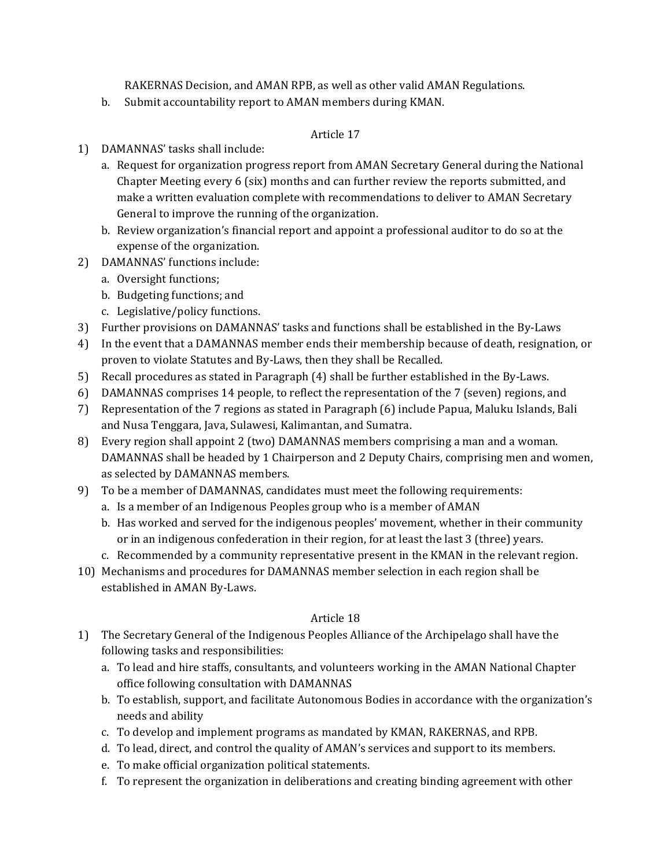RAKERNAS Decision, and AMAN RPB, as well as other valid AMAN Regulations.

b. Submit accountability report to AMAN members during KMAN.

## Article 17

- 1) DAMANNAS' tasks shall include:
	- a. Request for organization progress report from AMAN Secretary General during the National Chapter Meeting every  $6$  (six) months and can further review the reports submitted, and make a written evaluation complete with recommendations to deliver to AMAN Secretary General to improve the running of the organization.
	- b. Review organization's financial report and appoint a professional auditor to do so at the expense of the organization.
- 2) DAMANNAS' functions include:
	- a. Oversight functions;
	- b. Budgeting functions; and
	- c. Legislative/policy functions.
- 3) Further provisions on DAMANNAS' tasks and functions shall be established in the By-Laws
- 4) In the event that a DAMANNAS member ends their membership because of death, resignation, or proven to violate Statutes and By-Laws, then they shall be Recalled.
- 5) Recall procedures as stated in Paragraph (4) shall be further established in the By-Laws.
- 6) DAMANNAS comprises 14 people, to reflect the representation of the 7 (seven) regions, and
- 7) Representation of the 7 regions as stated in Paragraph (6) include Papua, Maluku Islands, Bali and Nusa Tenggara, Java, Sulawesi, Kalimantan, and Sumatra.
- 8) Every region shall appoint 2 (two) DAMANNAS members comprising a man and a woman. DAMANNAS shall be headed by 1 Chairperson and 2 Deputy Chairs, comprising men and women, as selected by DAMANNAS members.
- 9) To be a member of DAMANNAS, candidates must meet the following requirements:
	- a. Is a member of an Indigenous Peoples group who is a member of AMAN
	- b. Has worked and served for the indigenous peoples' movement, whether in their community or in an indigenous confederation in their region, for at least the last 3 (three) years.
	- c. Recommended by a community representative present in the KMAN in the relevant region.
- 10) Mechanisms and procedures for DAMANNAS member selection in each region shall be established in AMAN By-Laws.

- 1) The Secretary General of the Indigenous Peoples Alliance of the Archipelago shall have the following tasks and responsibilities:
	- a. To lead and hire staffs, consultants, and volunteers working in the AMAN National Chapter office following consultation with DAMANNAS
	- b. To establish, support, and facilitate Autonomous Bodies in accordance with the organization's needs and ability
	- c. To develop and implement programs as mandated by KMAN, RAKERNAS, and RPB.
	- d. To lead, direct, and control the quality of AMAN's services and support to its members.
	- e. To make official organization political statements.
	- f. To represent the organization in deliberations and creating binding agreement with other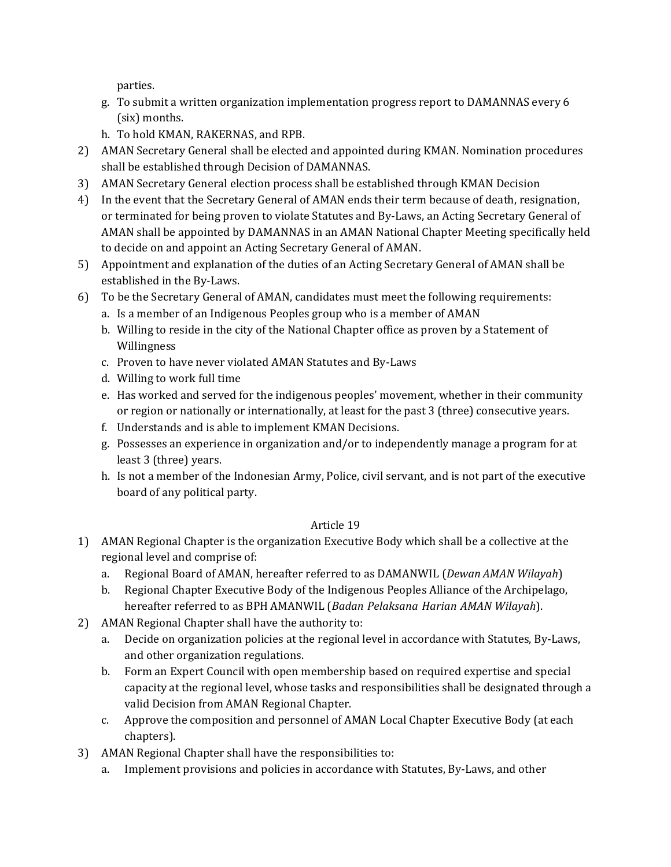parties.

- g. To submit a written organization implementation progress report to DAMANNAS every 6 (six) months.
- h. To hold KMAN, RAKERNAS, and RPB.
- 2) AMAN Secretary General shall be elected and appointed during KMAN. Nomination procedures shall be established through Decision of DAMANNAS.
- 3) AMAN Secretary General election process shall be established through KMAN Decision
- 4) In the event that the Secretary General of AMAN ends their term because of death, resignation, or terminated for being proven to violate Statutes and By-Laws, an Acting Secretary General of AMAN shall be appointed by DAMANNAS in an AMAN National Chapter Meeting specifically held to decide on and appoint an Acting Secretary General of AMAN.
- 5) Appointment and explanation of the duties of an Acting Secretary General of AMAN shall be established in the By-Laws.
- 6) To be the Secretary General of AMAN, candidates must meet the following requirements:
	- a. Is a member of an Indigenous Peoples group who is a member of AMAN
	- b. Willing to reside in the city of the National Chapter office as proven by a Statement of Willingness
	- c. Proven to have never violated AMAN Statutes and By-Laws
	- d. Willing to work full time
	- e. Has worked and served for the indigenous peoples' movement, whether in their community or region or nationally or internationally, at least for the past 3 (three) consecutive years.
	- f. Understands and is able to implement KMAN Decisions.
	- g. Possesses an experience in organization and/or to independently manage a program for at least 3 (three) years.
	- h. Is not a member of the Indonesian Army, Police, civil servant, and is not part of the executive board of any political party.

- 1) AMAN Regional Chapter is the organization Executive Body which shall be a collective at the regional level and comprise of:
	- a. Regional Board of AMAN, hereafter referred to as DAMANWIL (*Dewan AMAN Wilayah*)
	- b. Regional Chapter Executive Body of the Indigenous Peoples Alliance of the Archipelago, hereafter referred to as BPH AMANWIL (*Badan Pelaksana Harian AMAN Wilayah*).
- 2) AMAN Regional Chapter shall have the authority to:
	- a. Decide on organization policies at the regional level in accordance with Statutes, By-Laws, and other organization regulations.
	- b. Form an Expert Council with open membership based on required expertise and special capacity at the regional level, whose tasks and responsibilities shall be designated through a valid Decision from AMAN Regional Chapter.
	- c. Approve the composition and personnel of AMAN Local Chapter Executive Body (at each chapters).
- 3) AMAN Regional Chapter shall have the responsibilities to:
	- a. Implement provisions and policies in accordance with Statutes, By-Laws, and other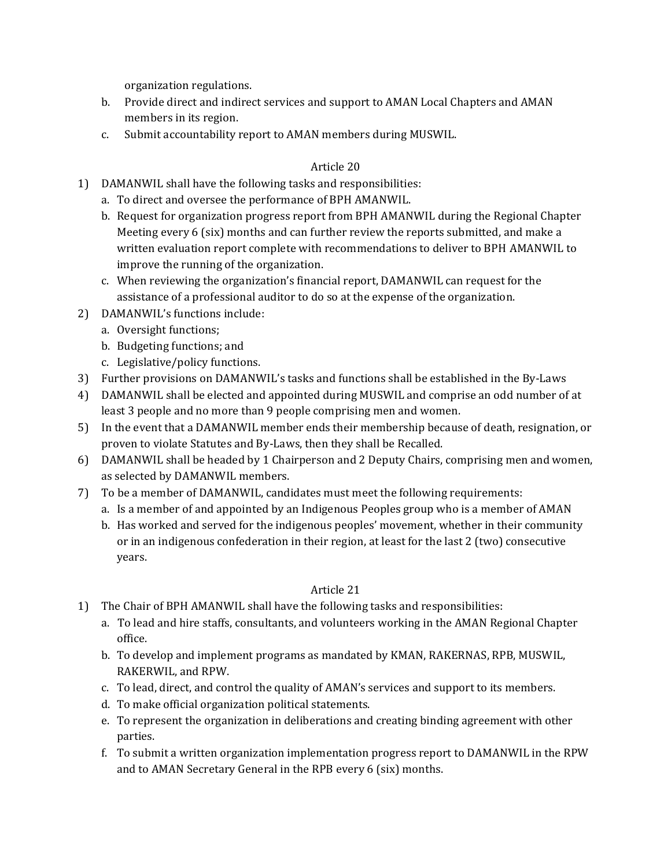organization regulations.

- b. Provide direct and indirect services and support to AMAN Local Chapters and AMAN members in its region.
- c. Submit accountability report to AMAN members during MUSWIL.

## Article 20

- 1) DAMANWIL shall have the following tasks and responsibilities:
	- a. To direct and oversee the performance of BPH AMANWIL.
	- b. Request for organization progress report from BPH AMANWIL during the Regional Chapter Meeting every  $6$  (six) months and can further review the reports submitted, and make a written evaluation report complete with recommendations to deliver to BPH AMANWIL to improve the running of the organization.
	- c. When reviewing the organization's financial report, DAMANWIL can request for the assistance of a professional auditor to do so at the expense of the organization.
- 2) DAMANWIL's functions include:
	- a. Oversight functions;
	- b. Budgeting functions; and
	- c. Legislative/policy functions.
- 3) Further provisions on DAMANWIL's tasks and functions shall be established in the By-Laws
- 4) DAMANWIL shall be elected and appointed during MUSWIL and comprise an odd number of at least 3 people and no more than 9 people comprising men and women.
- 5) In the event that a DAMANWIL member ends their membership because of death, resignation, or proven to violate Statutes and By-Laws, then they shall be Recalled.
- 6) DAMANWIL shall be headed by 1 Chairperson and 2 Deputy Chairs, comprising men and women, as selected by DAMANWIL members.
- 7) To be a member of DAMANWIL, candidates must meet the following requirements:
	- a. Is a member of and appointed by an Indigenous Peoples group who is a member of AMAN
	- b. Has worked and served for the indigenous peoples' movement, whether in their community or in an indigenous confederation in their region, at least for the last 2 (two) consecutive years.

- 1) The Chair of BPH AMANWIL shall have the following tasks and responsibilities:
	- a. To lead and hire staffs, consultants, and volunteers working in the AMAN Regional Chapter office.
	- b. To develop and implement programs as mandated by KMAN, RAKERNAS, RPB, MUSWIL, RAKERWIL, and RPW.
	- c. To lead, direct, and control the quality of AMAN's services and support to its members.
	- d. To make official organization political statements.
	- e. To represent the organization in deliberations and creating binding agreement with other parties.
	- f. To submit a written organization implementation progress report to DAMANWIL in the RPW and to AMAN Secretary General in the RPB every 6 (six) months.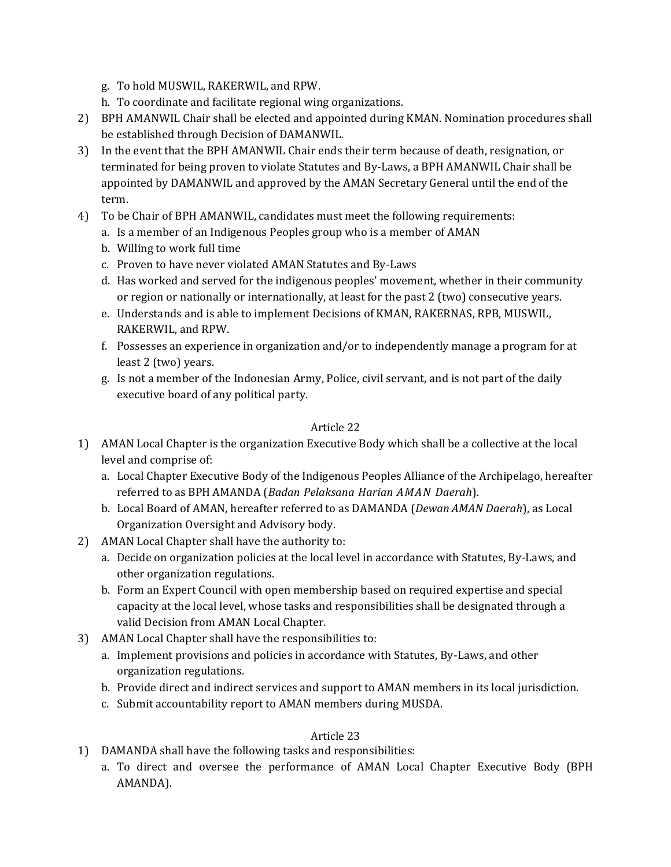- g. To hold MUSWIL, RAKERWIL, and RPW.
- h. To coordinate and facilitate regional wing organizations.
- 2) BPH AMANWIL Chair shall be elected and appointed during KMAN. Nomination procedures shall be established through Decision of DAMANWIL.
- 3) In the event that the BPH AMANWIL Chair ends their term because of death, resignation, or terminated for being proven to violate Statutes and By-Laws, a BPH AMANWIL Chair shall be appointed by DAMANWIL and approved by the AMAN Secretary General until the end of the term.
- 4) To be Chair of BPH AMANWIL, candidates must meet the following requirements:
	- a. Is a member of an Indigenous Peoples group who is a member of AMAN
	- b. Willing to work full time
	- c. Proven to have never violated AMAN Statutes and By-Laws
	- d. Has worked and served for the indigenous peoples' movement, whether in their community or region or nationally or internationally, at least for the past  $2$  (two) consecutive years.
	- e. Understands and is able to implement Decisions of KMAN, RAKERNAS, RPB, MUSWIL, RAKERWIL, and RPW.
	- f. Possesses an experience in organization and/or to independently manage a program for at least 2 (two) years.
	- g. Is not a member of the Indonesian Army, Police, civil servant, and is not part of the daily executive board of any political party.

- 1) AMAN Local Chapter is the organization Executive Body which shall be a collective at the local level and comprise of:
	- a. Local Chapter Executive Body of the Indigenous Peoples Alliance of the Archipelago, hereafter referred to as BPH AMANDA (*Badan Pelaksana Harian AMAN Daerah*).
	- b. Local Board of AMAN, hereafter referred to as DAMANDA (*Dewan AMAN Daerah*), as Local Organization Oversight and Advisory body.
- 2) AMAN Local Chapter shall have the authority to:
	- a. Decide on organization policies at the local level in accordance with Statutes, By-Laws, and other organization regulations.
	- b. Form an Expert Council with open membership based on required expertise and special capacity at the local level, whose tasks and responsibilities shall be designated through a valid Decision from AMAN Local Chapter.
- 3) AMAN Local Chapter shall have the responsibilities to:
	- a. Implement provisions and policies in accordance with Statutes, By-Laws, and other organization regulations.
	- b. Provide direct and indirect services and support to AMAN members in its local jurisdiction.
	- c. Submit accountability report to AMAN members during MUSDA.

- 1) DAMANDA shall have the following tasks and responsibilities:
	- a. To direct and oversee the performance of AMAN Local Chapter Executive Body (BPH AMANDA).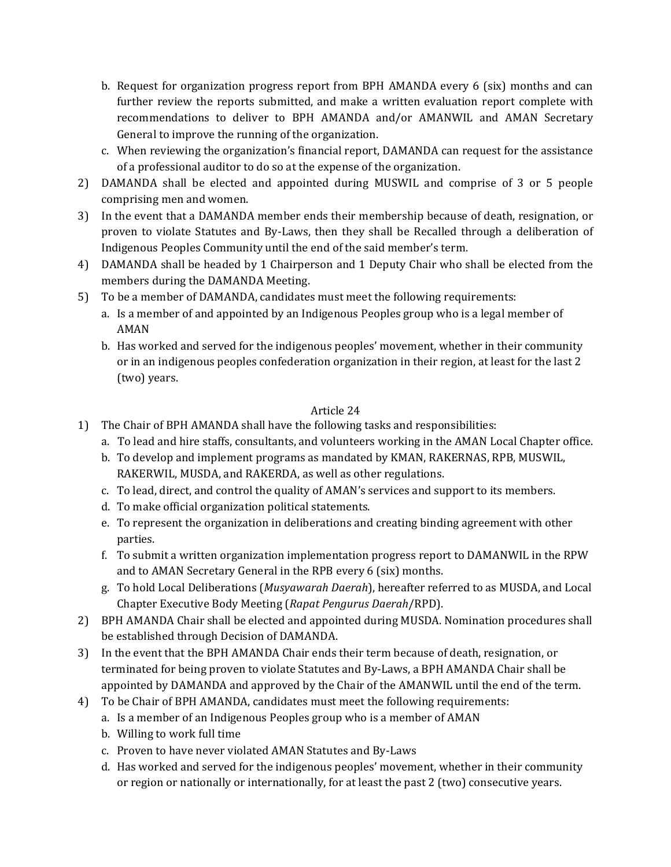- b. Request for organization progress report from BPH AMANDA every  $6$  (six) months and can further review the reports submitted, and make a written evaluation report complete with recommendations to deliver to BPH AMANDA and/or AMANWIL and AMAN Secretary General to improve the running of the organization.
- c. When reviewing the organization's financial report, DAMANDA can request for the assistance of a professional auditor to do so at the expense of the organization.
- 2) DAMANDA shall be elected and appointed during MUSWIL and comprise of 3 or 5 people comprising men and women.
- 3) In the event that a DAMANDA member ends their membership because of death, resignation, or proven to violate Statutes and By-Laws, then they shall be Recalled through a deliberation of Indigenous Peoples Community until the end of the said member's term.
- 4) DAMANDA shall be headed by 1 Chairperson and 1 Deputy Chair who shall be elected from the members during the DAMANDA Meeting.
- 5) To be a member of DAMANDA, candidates must meet the following requirements:
	- a. Is a member of and appointed by an Indigenous Peoples group who is a legal member of AMAN
	- b. Has worked and served for the indigenous peoples' movement, whether in their community or in an indigenous peoples confederation organization in their region, at least for the last 2 (two) years.

- 1) The Chair of BPH AMANDA shall have the following tasks and responsibilities:
	- a. To lead and hire staffs, consultants, and volunteers working in the AMAN Local Chapter office.
	- b. To develop and implement programs as mandated by KMAN, RAKERNAS, RPB, MUSWIL, RAKERWIL, MUSDA, and RAKERDA, as well as other regulations.
	- c. To lead, direct, and control the quality of AMAN's services and support to its members.
	- d. To make official organization political statements.
	- e. To represent the organization in deliberations and creating binding agreement with other parties.
	- f. To submit a written organization implementation progress report to DAMANWIL in the RPW and to AMAN Secretary General in the RPB every 6 (six) months.
	- g. To hold Local Deliberations (*Musyawarah Daerah*), hereafter referred to as MUSDA, and Local Chapter Executive Body Meeting (*Rapat Pengurus Daerah*/RPD).
- 2) BPH AMANDA Chair shall be elected and appointed during MUSDA. Nomination procedures shall be established through Decision of DAMANDA.
- 3) In the event that the BPH AMANDA Chair ends their term because of death, resignation, or terminated for being proven to violate Statutes and By-Laws, a BPH AMANDA Chair shall be appointed by DAMANDA and approved by the Chair of the AMANWIL until the end of the term.
- 4) To be Chair of BPH AMANDA, candidates must meet the following requirements:
	- a. Is a member of an Indigenous Peoples group who is a member of AMAN
	- b. Willing to work full time
	- c. Proven to have never violated AMAN Statutes and By-Laws
	- d. Has worked and served for the indigenous peoples' movement, whether in their community or region or nationally or internationally, for at least the past 2 (two) consecutive years.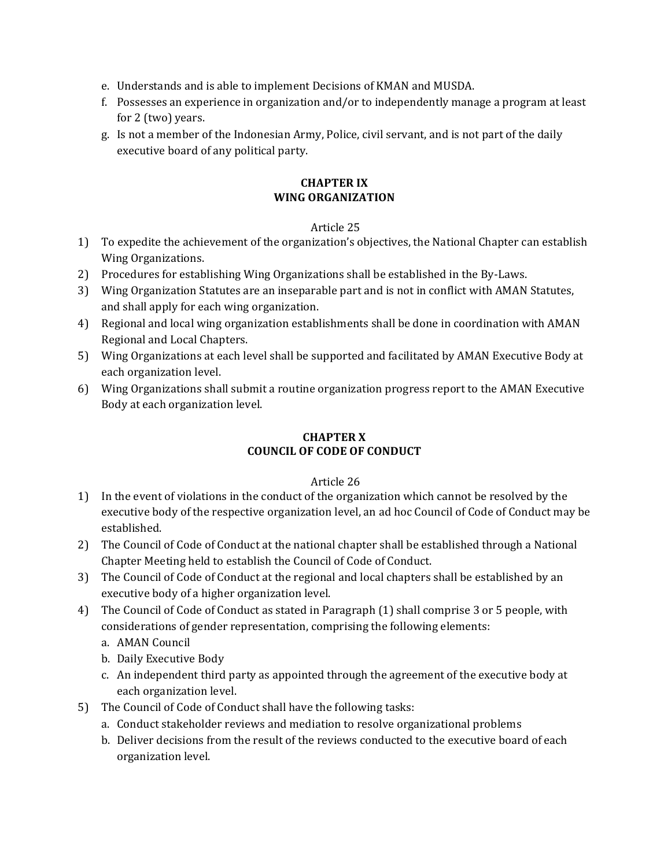- e. Understands and is able to implement Decisions of KMAN and MUSDA.
- f. Possesses an experience in organization and/or to independently manage a program at least for 2 (two) years.
- g. Is not a member of the Indonesian Army, Police, civil servant, and is not part of the daily executive board of any political party.

#### **CHAPTER IX WING ORGANIZATION**

#### Article 25

- 1) To expedite the achievement of the organization's objectives, the National Chapter can establish Wing Organizations.
- 2) Procedures for establishing Wing Organizations shall be established in the By-Laws.
- 3) Wing Organization Statutes are an inseparable part and is not in conflict with AMAN Statutes, and shall apply for each wing organization.
- 4) Regional and local wing organization establishments shall be done in coordination with AMAN Regional and Local Chapters.
- 5) Wing Organizations at each level shall be supported and facilitated by AMAN Executive Body at each organization level.
- 6) Wing Organizations shall submit a routine organization progress report to the AMAN Executive Body at each organization level.

## **CHAPTER X COUNCIL OF CODE OF CONDUCT**

- 1) In the event of violations in the conduct of the organization which cannot be resolved by the executive body of the respective organization level, an ad hoc Council of Code of Conduct may be established.
- 2) The Council of Code of Conduct at the national chapter shall be established through a National Chapter Meeting held to establish the Council of Code of Conduct.
- 3) The Council of Code of Conduct at the regional and local chapters shall be established by an executive body of a higher organization level.
- 4) The Council of Code of Conduct as stated in Paragraph (1) shall comprise 3 or 5 people, with considerations of gender representation, comprising the following elements:
	- a. AMAN Council
	- b. Daily Executive Body
	- c. An independent third party as appointed through the agreement of the executive body at each organization level.
- 5) The Council of Code of Conduct shall have the following tasks:
	- a. Conduct stakeholder reviews and mediation to resolve organizational problems
	- b. Deliver decisions from the result of the reviews conducted to the executive board of each organization level.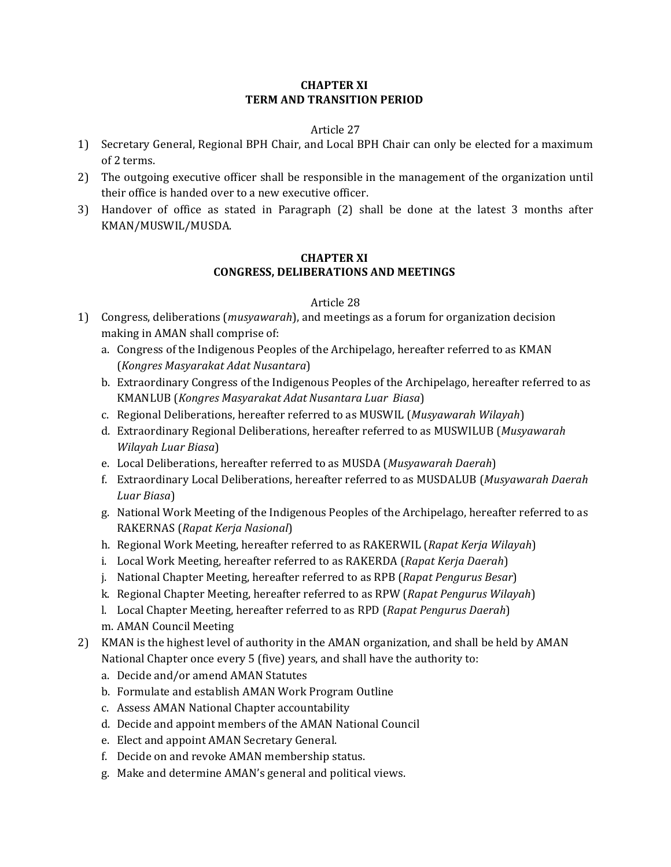#### **CHAPTER XI TERM AND TRANSITION PERIOD**

#### Article 27

- 1) Secretary General, Regional BPH Chair, and Local BPH Chair can only be elected for a maximum of 2 terms.
- 2) The outgoing executive officer shall be responsible in the management of the organization until their office is handed over to a new executive officer.
- 3) Handover of office as stated in Paragraph (2) shall be done at the latest 3 months after KMAN/MUSWIL/MUSDA.

#### **CHAPTER XI CONGRESS, DELIBERATIONS AND MEETINGS**

- 1) Congress, deliberations (*musyawarah*), and meetings as a forum for organization decision making in AMAN shall comprise of:
	- a. Congress of the Indigenous Peoples of the Archipelago, hereafter referred to as KMAN (*Kongres Masyarakat Adat Nusantara*)
	- b. Extraordinary Congress of the Indigenous Peoples of the Archipelago, hereafter referred to as KMANLUB (*Kongres Masyarakat Adat Nusantara Luar Biasa*)
	- c. Regional Deliberations, hereafter referred to as MUSWIL (Musyawarah Wilayah)
	- d. Extraordinary Regional Deliberations, hereafter referred to as MUSWILUB (*Musyawarah Wilayah Luar Biasa*)
	- e. Local Deliberations, hereafter referred to as MUSDA (Musyawarah Daerah)
	- f. Extraordinary Local Deliberations, hereafter referred to as MUSDALUB (*Musyawarah Daerah*) *Luar Biasa*)
	- g. National Work Meeting of the Indigenous Peoples of the Archipelago, hereafter referred to as RAKERNAS (*Rapat Kerja Nasional*)
	- h. Regional Work Meeting, hereafter referred to as RAKERWIL (*Rapat Kerja Wilayah*)
	- i. Local Work Meeting, hereafter referred to as RAKERDA (*Rapat Kerja Daerah*)
	- j. National Chapter Meeting, hereafter referred to as RPB (*Rapat Pengurus Besar*)
	- k. Regional Chapter Meeting, hereafter referred to as RPW (*Rapat Pengurus Wilayah*)
	- l. Local Chapter Meeting, hereafter referred to as RPD (*Rapat Pengurus Daerah*)
	- m. AMAN Council Meeting
- 2) KMAN is the highest level of authority in the AMAN organization, and shall be held by AMAN National Chapter once every 5 (five) years, and shall have the authority to:
	- a. Decide and/or amend AMAN Statutes
	- b. Formulate and establish AMAN Work Program Outline
	- c. Assess AMAN National Chapter accountability
	- d. Decide and appoint members of the AMAN National Council
	- e. Elect and appoint AMAN Secretary General.
	- f. Decide on and revoke AMAN membership status.
	- g. Make and determine AMAN's general and political views.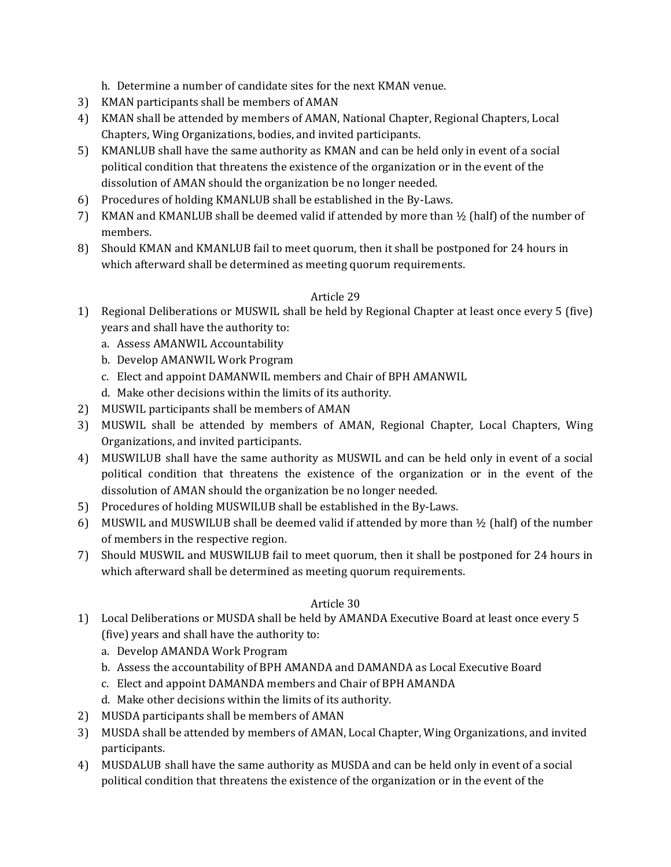h. Determine a number of candidate sites for the next KMAN venue.

- 3) KMAN participants shall be members of AMAN
- 4) KMAN shall be attended by members of AMAN, National Chapter, Regional Chapters, Local Chapters, Wing Organizations, bodies, and invited participants.
- 5) KMANLUB shall have the same authority as KMAN and can be held only in event of a social political condition that threatens the existence of the organization or in the event of the dissolution of AMAN should the organization be no longer needed.
- 6) Procedures of holding KMANLUB shall be established in the By-Laws.
- 7) KMAN and KMANLUB shall be deemed valid if attended by more than  $\frac{1}{2}$  (half) of the number of members.
- 8) Should KMAN and KMANLUB fail to meet quorum, then it shall be postponed for 24 hours in which afterward shall be determined as meeting quorum requirements.

## Article 29

- 1) Regional Deliberations or MUSWIL shall be held by Regional Chapter at least once every 5 (five) years and shall have the authority to:
	- a. Assess AMANWIL Accountability
	- b. Develop AMANWIL Work Program
	- c. Elect and appoint DAMANWIL members and Chair of BPH AMANWIL
	- d. Make other decisions within the limits of its authority.
- 2) MUSWIL participants shall be members of AMAN
- 3) MUSWIL shall be attended by members of AMAN, Regional Chapter, Local Chapters, Wing Organizations, and invited participants.
- 4) MUSWILUB shall have the same authority as MUSWIL and can be held only in event of a social political condition that threatens the existence of the organization or in the event of the dissolution of AMAN should the organization be no longer needed.
- 5) Procedures of holding MUSWILUB shall be established in the By-Laws.
- 6) MUSWIL and MUSWILUB shall be deemed valid if attended by more than  $\frac{1}{2}$  (half) of the number of members in the respective region.
- 7) Should MUSWIL and MUSWILUB fail to meet quorum, then it shall be postponed for 24 hours in which afterward shall be determined as meeting quorum requirements.

- 1) Local Deliberations or MUSDA shall be held by AMANDA Executive Board at least once every 5 (five) years and shall have the authority to:
	- a. Develop AMANDA Work Program
	- b. Assess the accountability of BPH AMANDA and DAMANDA as Local Executive Board
	- c. Elect and appoint DAMANDA members and Chair of BPH AMANDA
	- d. Make other decisions within the limits of its authority.
- 2) MUSDA participants shall be members of AMAN
- 3) MUSDA shall be attended by members of AMAN, Local Chapter, Wing Organizations, and invited participants.
- 4) MUSDALUB shall have the same authority as MUSDA and can be held only in event of a social political condition that threatens the existence of the organization or in the event of the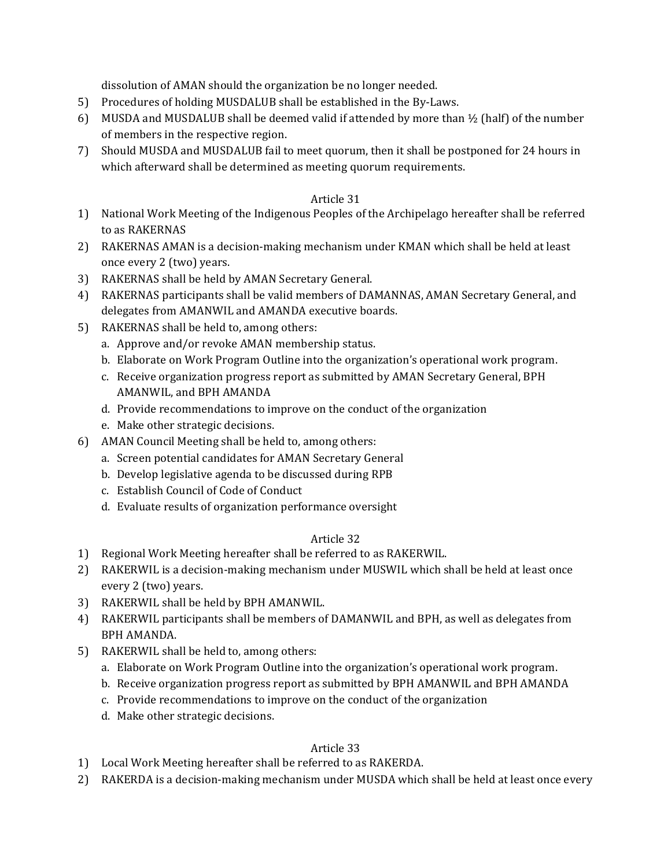dissolution of AMAN should the organization be no longer needed.

- 5) Procedures of holding MUSDALUB shall be established in the By-Laws.
- 6) MUSDA and MUSDALUB shall be deemed valid if attended by more than  $\frac{1}{2}$  (half) of the number of members in the respective region.
- 7) Should MUSDA and MUSDALUB fail to meet quorum, then it shall be postponed for 24 hours in which afterward shall be determined as meeting quorum requirements.

## Article 31

- 1) National Work Meeting of the Indigenous Peoples of the Archipelago hereafter shall be referred to as RAKERNAS
- 2) RAKERNAS AMAN is a decision-making mechanism under KMAN which shall be held at least once every 2 (two) years.
- 3) RAKERNAS shall be held by AMAN Secretary General.
- 4) RAKERNAS participants shall be valid members of DAMANNAS, AMAN Secretary General, and delegates from AMANWIL and AMANDA executive boards.
- 5) RAKERNAS shall be held to, among others:
	- a. Approve and/or revoke AMAN membership status.
	- b. Elaborate on Work Program Outline into the organization's operational work program.
	- c. Receive organization progress report as submitted by AMAN Secretary General, BPH AMANWIL, and BPH AMANDA
	- d. Provide recommendations to improve on the conduct of the organization
	- e. Make other strategic decisions.
- 6) AMAN Council Meeting shall be held to, among others:
	- a. Screen potential candidates for AMAN Secretary General
	- b. Develop legislative agenda to be discussed during RPB
	- c. Establish Council of Code of Conduct
	- d. Evaluate results of organization performance oversight

## Article 32

- 1) Regional Work Meeting hereafter shall be referred to as RAKERWIL.
- 2) RAKERWIL is a decision-making mechanism under MUSWIL which shall be held at least once every 2 (two) years.
- 3) RAKERWIL shall be held by BPH AMANWIL.
- 4) RAKERWIL participants shall be members of DAMANWIL and BPH, as well as delegates from BPH AMANDA.
- 5) RAKERWIL shall be held to, among others:
	- a. Elaborate on Work Program Outline into the organization's operational work program.
	- b. Receive organization progress report as submitted by BPH AMANWIL and BPH AMANDA
	- c. Provide recommendations to improve on the conduct of the organization
	- d. Make other strategic decisions.

- 1) Local Work Meeting hereafter shall be referred to as RAKERDA.
- 2) RAKERDA is a decision-making mechanism under MUSDA which shall be held at least once every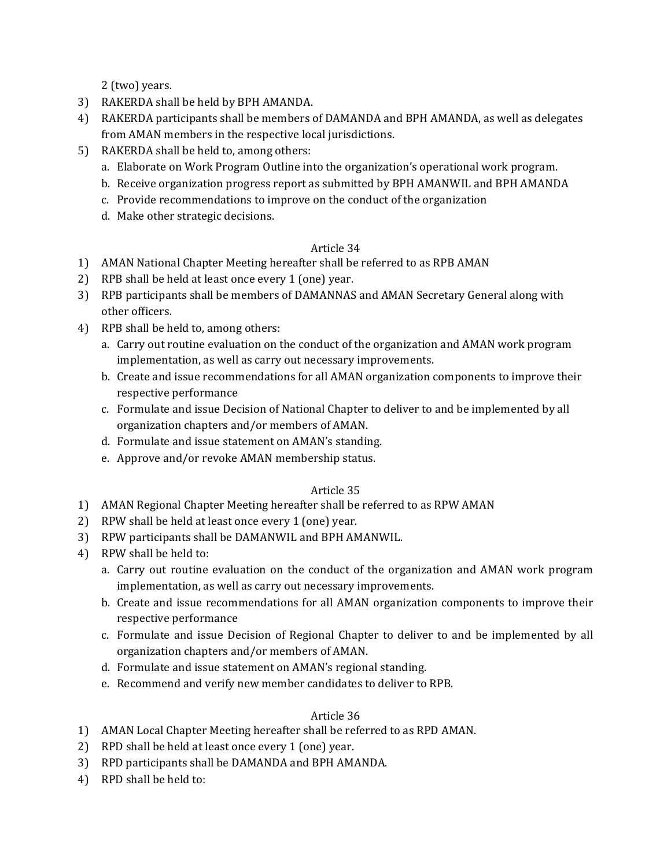2 (two) years.

- 3) RAKERDA shall be held by BPH AMANDA.
- 4) RAKERDA participants shall be members of DAMANDA and BPH AMANDA, as well as delegates from AMAN members in the respective local jurisdictions.
- 5) RAKERDA shall be held to, among others:
	- a. Elaborate on Work Program Outline into the organization's operational work program.
	- b. Receive organization progress report as submitted by BPH AMANWIL and BPH AMANDA
	- c. Provide recommendations to improve on the conduct of the organization
	- d. Make other strategic decisions.

## Article 34

- 1) AMAN National Chapter Meeting hereafter shall be referred to as RPB AMAN
- 2) RPB shall be held at least once every 1 (one) year.
- 3) RPB participants shall be members of DAMANNAS and AMAN Secretary General along with other officers.
- 4) RPB shall be held to, among others:
	- a. Carry out routine evaluation on the conduct of the organization and AMAN work program implementation, as well as carry out necessary improvements.
	- b. Create and issue recommendations for all AMAN organization components to improve their respective performance
	- c. Formulate and issue Decision of National Chapter to deliver to and be implemented by all organization chapters and/or members of AMAN.
	- d. Formulate and issue statement on AMAN's standing.
	- e. Approve and/or revoke AMAN membership status.

## Article 35

- 1) AMAN Regional Chapter Meeting hereafter shall be referred to as RPW AMAN
- 2) RPW shall be held at least once every 1 (one) year.
- 3) RPW participants shall be DAMANWIL and BPH AMANWIL.
- 4) RPW shall be held to:
	- a. Carry out routine evaluation on the conduct of the organization and AMAN work program implementation, as well as carry out necessary improvements.
	- b. Create and issue recommendations for all AMAN organization components to improve their respective performance
	- c. Formulate and issue Decision of Regional Chapter to deliver to and be implemented by all organization chapters and/or members of AMAN.
	- d. Formulate and issue statement on AMAN's regional standing.
	- e. Recommend and verify new member candidates to deliver to RPB.

- 1) AMAN Local Chapter Meeting hereafter shall be referred to as RPD AMAN.
- 2) RPD shall be held at least once every 1 (one) year.
- 3) RPD participants shall be DAMANDA and BPH AMANDA.
- 4) RPD shall be held to: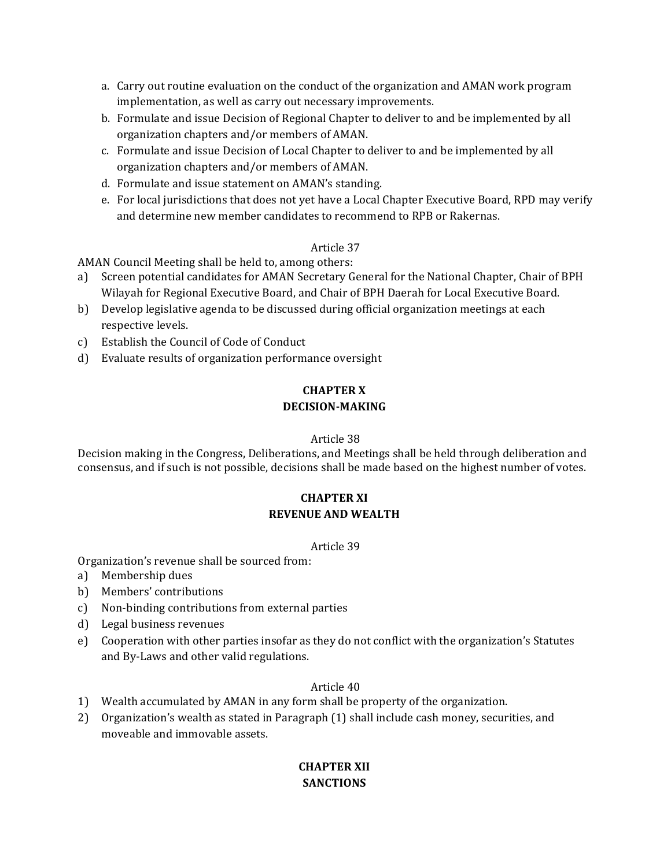- a. Carry out routine evaluation on the conduct of the organization and AMAN work program implementation, as well as carry out necessary improvements.
- b. Formulate and issue Decision of Regional Chapter to deliver to and be implemented by all organization chapters and/or members of AMAN.
- c. Formulate and issue Decision of Local Chapter to deliver to and be implemented by all organization chapters and/or members of AMAN.
- d. Formulate and issue statement on AMAN's standing.
- e. For local jurisdictions that does not yet have a Local Chapter Executive Board, RPD may verify and determine new member candidates to recommend to RPB or Rakernas.

AMAN Council Meeting shall be held to, among others:

- a) Screen potential candidates for AMAN Secretary General for the National Chapter, Chair of BPH Wilayah for Regional Executive Board, and Chair of BPH Daerah for Local Executive Board.
- b) Develop legislative agenda to be discussed during official organization meetings at each respective levels.
- c) Establish the Council of Code of Conduct
- d) Evaluate results of organization performance oversight

## **CHAPTER X DECISION-MAKING**

#### Article 38

Decision making in the Congress, Deliberations, and Meetings shall be held through deliberation and consensus, and if such is not possible, decisions shall be made based on the highest number of votes.

## **CHAPTER XI REVENUE AND WEALTH**

#### Article 39

Organization's revenue shall be sourced from:

- a) Membership dues
- b) Members' contributions
- c) Non-binding contributions from external parties
- d) Legal business revenues
- e) Cooperation with other parties insofar as they do not conflict with the organization's Statutes and By-Laws and other valid regulations.

#### Article 40

- 1) Wealth accumulated by AMAN in any form shall be property of the organization.
- 2) Organization's wealth as stated in Paragraph (1) shall include cash money, securities, and moveable and immovable assets.

## **CHAPTER XII SANCTIONS**